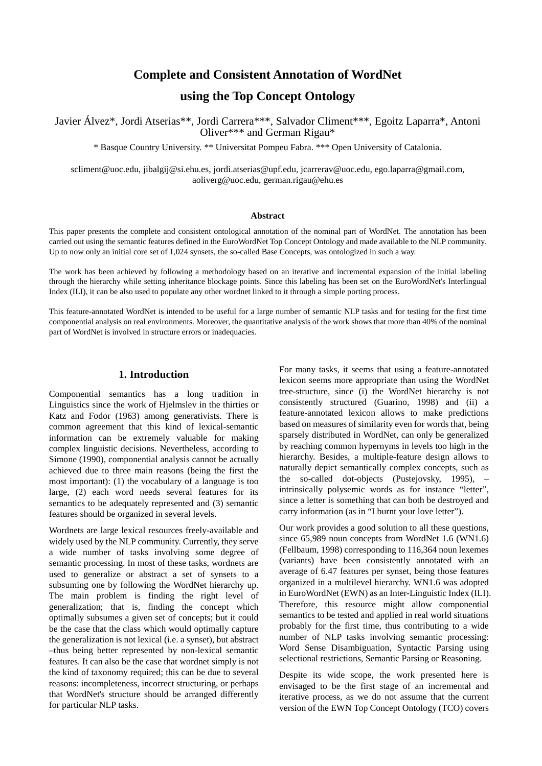# **Complete and Consistent Annotation of WordNet**

# **using the Top Concept Ontology**

Javier Álvez\*, Jordi Atserias\*\*, Jordi Carrera\*\*\*, Salvador Climent\*\*\*, Egoitz Laparra\*, Antoni Oliver\*\*\* and German Rigau\*

\* Basque Country University. \*\* Universitat Pompeu Fabra. \*\*\* Open University of Catalonia.

scliment@uoc.edu, jibalgij@si.ehu.es, jordi.atserias@upf.edu, jcarrerav@uoc.edu, ego.laparra@gmail.com, aoliverg@uoc.edu, german.rigau@ehu.es

#### **Abstract**

This paper presents the complete and consistent ontological annotation of the nominal part of WordNet. The annotation has been carried out using the semantic features defined in the EuroWordNet Top Concept Ontology and made available to the NLP community. Up to now only an initial core set of 1,024 synsets, the so-called Base Concepts, was ontologized in such a way.

The work has been achieved by following a methodology based on an iterative and incremental expansion of the initial labeling through the hierarchy while setting inheritance blockage points. Since this labeling has been set on the EuroWordNet's Interlingual Index (ILI), it can be also used to populate any other wordnet linked to it through a simple porting process.

This feature-annotated WordNet is intended to be useful for a large number of semantic NLP tasks and for testing for the first time componential analysis on real environments. Moreover, the quantitative analysis of the work shows that more than 40% of the nominal part of WordNet is involved in structure errors or inadequacies.

## **1. Introduction**

Componential semantics has a long tradition in Linguistics since the work of Hjelmslev in the thirties or Katz and Fodor (1963) among generativists. There is common agreement that this kind of lexical-semantic information can be extremely valuable for making complex linguistic decisions. Nevertheless, according to Simone (1990), componential analysis cannot be actually achieved due to three main reasons (being the first the most important): (1) the vocabulary of a language is too large, (2) each word needs several features for its semantics to be adequately represented and (3) semantic features should be organized in several levels.

Wordnets are large lexical resources freely-available and widely used by the NLP community. Currently, they serve a wide number of tasks involving some degree of semantic processing. In most of these tasks, wordnets are used to generalize or abstract a set of synsets to a subsuming one by following the WordNet hierarchy up. The main problem is finding the right level of generalization; that is, finding the concept which optimally subsumes a given set of concepts; but it could be the case that the class which would optimally capture the generalization is not lexical (i.e. a synset), but abstract –thus being better represented by non-lexical semantic features. It can also be the case that wordnet simply is not the kind of taxonomy required; this can be due to several reasons: incompleteness, incorrect structuring, or perhaps that WordNet's structure should be arranged differently for particular NLP tasks.

For many tasks, it seems that using a feature-annotated lexicon seems more appropriate than using the WordNet tree-structure, since (i) the WordNet hierarchy is not consistently structured (Guarino, 1998) and (ii) a feature-annotated lexicon allows to make predictions based on measures of similarity even for words that, being sparsely distributed in WordNet, can only be generalized by reaching common hypernyms in levels too high in the hierarchy. Besides, a multiple-feature design allows to naturally depict semantically complex concepts, such as the so-called dot-objects (Pustejovsky, 1995), – intrinsically polysemic words as for instance "letter", since a letter is something that can both be destroyed and carry information (as in "I burnt your love letter").

Our work provides a good solution to all these questions, since 65,989 noun concepts from WordNet 1.6 (WN1.6) (Fellbaum, 1998) corresponding to 116,364 noun lexemes (variants) have been consistently annotated with an average of 6.47 features per synset, being those features organized in a multilevel hierarchy. WN1.6 was adopted in EuroWordNet (EWN) as an Inter-Linguistic Index (ILI). Therefore, this resource might allow componential semantics to be tested and applied in real world situations probably for the first time, thus contributing to a wide number of NLP tasks involving semantic processing: Word Sense Disambiguation, Syntactic Parsing using selectional restrictions, Semantic Parsing or Reasoning.

Despite its wide scope, the work presented here is envisaged to be the first stage of an incremental and iterative process, as we do not assume that the current version of the EWN Top Concept Ontology (TCO) covers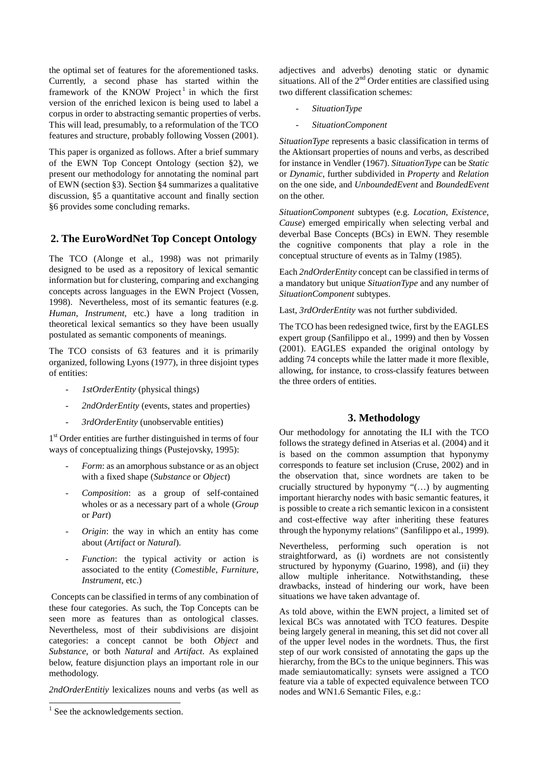the optimal set of features for the aforementioned tasks. Currently, a second phase has started within the framework of the KNOW Project<sup>1</sup> in which the first version of the enriched lexicon is being used to label a corpus in order to abstracting semantic properties of verbs. This will lead, presumably, to a reformulation of the TCO features and structure, probably following Vossen (2001).

This paper is organized as follows. After a brief summary of the EWN Top Concept Ontology (section §2), we present our methodology for annotating the nominal part of EWN (section §3). Section §4 summarizes a qualitative discussion, §5 a quantitative account and finally section §6 provides some concluding remarks.

# **2. The EuroWordNet Top Concept Ontology**

The TCO (Alonge et al., 1998) was not primarily designed to be used as a repository of lexical semantic information but for clustering, comparing and exchanging concepts across languages in the EWN Project (Vossen, 1998). Nevertheless, most of its semantic features (e.g. *Human*, *Instrument*, etc.) have a long tradition in theoretical lexical semantics so they have been usually postulated as semantic components of meanings.

The TCO consists of 63 features and it is primarily organized, following Lyons (1977), in three disjoint types of entities:

- *1stOrderEntity* (physical things)
- 2ndOrderEntity (events, states and properties)
- *3rdOrderEntity* (unobservable entities)

1<sup>st</sup> Order entities are further distinguished in terms of four ways of conceptualizing things (Pustejovsky, 1995):

- *Form*: as an amorphous substance or as an object with a fixed shape (*Substance* or *Object*)
- *Composition*: as a group of self-contained wholes or as a necessary part of a whole (*Group* or *Part*)
- *Origin*: the way in which an entity has come about (*Artifact* or *Natural*).
- *Function*: the typical activity or action is associated to the entity (*Comestible*, *Furniture*, *Instrument*, etc.)

 Concepts can be classified in terms of any combination of these four categories. As such, the Top Concepts can be seen more as features than as ontological classes. Nevertheless, most of their subdivisions are disjoint categories: a concept cannot be both *Object* and *Substance*, or both *Natural* and *Artifact*. As explained below, feature disjunction plays an important role in our methodology.

*2ndOrderEntitiy* lexicalizes nouns and verbs (as well as

adjectives and adverbs) denoting static or dynamic situations. All of the  $2<sup>nd</sup>$  Order entities are classified using two different classification schemes:

- *SituationType*
- *SituationComponent*

*SituationType* represents a basic classification in terms of the Aktionsart properties of nouns and verbs, as described for instance in Vendler (1967). *SituationType* can be *Static* or *Dynamic*, further subdivided in *Property* and *Relation* on the one side, and *UnboundedEvent* and *BoundedEvent* on the other.

*SituationComponent* subtypes (e.g. *Location*, *Existence*, *Cause*) emerged empirically when selecting verbal and deverbal Base Concepts (BCs) in EWN. They resemble the cognitive components that play a role in the conceptual structure of events as in Talmy (1985).

Each *2ndOrderEntity* concept can be classified in terms of a mandatory but unique *SituationType* and any number of *SituationComponent* subtypes.

Last, *3rdOrderEntity* was not further subdivided.

The TCO has been redesigned twice, first by the EAGLES expert group (Sanfilippo et al., 1999) and then by Vossen (2001). EAGLES expanded the original ontology by adding 74 concepts while the latter made it more flexible, allowing, for instance, to cross-classify features between the three orders of entities.

## **3. Methodology**

Our methodology for annotating the ILI with the TCO follows the strategy defined in Atserias et al. (2004) and it is based on the common assumption that hyponymy corresponds to feature set inclusion (Cruse, 2002) and in the observation that, since wordnets are taken to be crucially structured by hyponymy "(…) by augmenting important hierarchy nodes with basic semantic features, it is possible to create a rich semantic lexicon in a consistent and cost-effective way after inheriting these features through the hyponymy relations" (Sanfilippo et al., 1999).

Nevertheless, performing such operation is not straightforward, as (i) wordnets are not consistently structured by hyponymy (Guarino, 1998), and (ii) they allow multiple inheritance. Notwithstanding, these drawbacks, instead of hindering our work, have been situations we have taken advantage of.

As told above, within the EWN project, a limited set of lexical BCs was annotated with TCO features. Despite being largely general in meaning, this set did not cover all of the upper level nodes in the wordnets. Thus, the first step of our work consisted of annotating the gaps up the hierarchy, from the BCs to the unique beginners. This was made semiautomatically: synsets were assigned a TCO feature via a table of expected equivalence between TCO nodes and WN1.6 Semantic Files, e.g.:

<sup>&</sup>lt;sup>1</sup> See the acknowledgements section.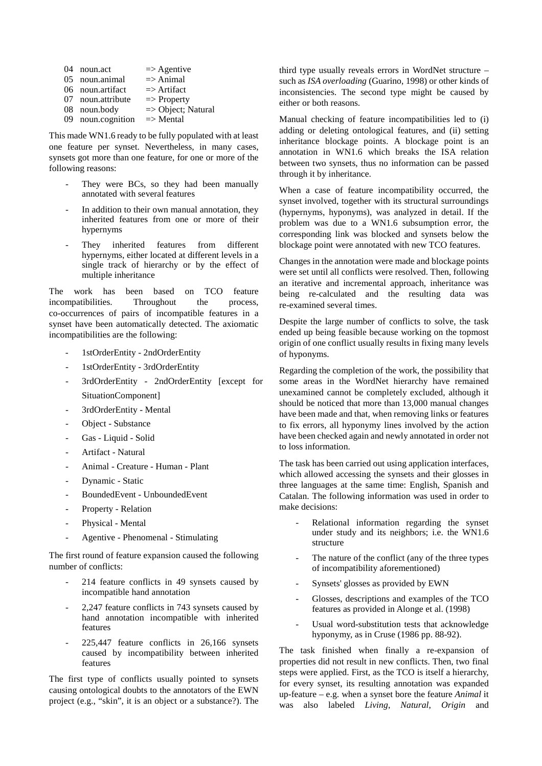| 04 noun.act       | $\Rightarrow$ Agentive        |
|-------------------|-------------------------------|
| 05 noun.animal    | $\Rightarrow$ Animal          |
| 06 noun.artifact  | $\Rightarrow$ Artifact        |
| 07 noun.attribute | $\Rightarrow$ Property        |
| 08 noun.body      | $\Rightarrow$ Object; Natural |
| 09 noun.cognition | $\Rightarrow$ Mental          |

This made WN1.6 ready to be fully populated with at least one feature per synset. Nevertheless, in many cases, synsets got more than one feature, for one or more of the following reasons:

- They were BCs, so they had been manually annotated with several features
- In addition to their own manual annotation, they inherited features from one or more of their hypernyms
- They inherited features from different hypernyms, either located at different levels in a single track of hierarchy or by the effect of multiple inheritance

The work has been based on TCO feature incompatibilities. Throughout the process, co-occurrences of pairs of incompatible features in a synset have been automatically detected. The axiomatic incompatibilities are the following:

- 1stOrderEntity 2ndOrderEntity
- 1stOrderEntity 3rdOrderEntity
- 3rdOrderEntity 2ndOrderEntity [except for SituationComponent]
- 3rdOrderEntity Mental
- Object Substance
- Gas Liquid Solid
- Artifact Natural
- Animal Creature Human Plant
- Dynamic Static
- BoundedEvent UnboundedEvent
- Property Relation
- Physical Mental
- Agentive Phenomenal Stimulating

The first round of feature expansion caused the following number of conflicts:

- 214 feature conflicts in 49 synsets caused by incompatible hand annotation
- 2,247 feature conflicts in 743 synsets caused by hand annotation incompatible with inherited features
- 225,447 feature conflicts in 26,166 synsets caused by incompatibility between inherited features

The first type of conflicts usually pointed to synsets causing ontological doubts to the annotators of the EWN project (e.g., "skin", it is an object or a substance?). The third type usually reveals errors in WordNet structure – such as *ISA overloading* (Guarino, 1998) or other kinds of inconsistencies. The second type might be caused by either or both reasons.

Manual checking of feature incompatibilities led to (i) adding or deleting ontological features, and (ii) setting inheritance blockage points. A blockage point is an annotation in WN1.6 which breaks the ISA relation between two synsets, thus no information can be passed through it by inheritance.

When a case of feature incompatibility occurred, the synset involved, together with its structural surroundings (hypernyms, hyponyms), was analyzed in detail. If the problem was due to a WN1.6 subsumption error, the corresponding link was blocked and synsets below the blockage point were annotated with new TCO features.

Changes in the annotation were made and blockage points were set until all conflicts were resolved. Then, following an iterative and incremental approach, inheritance was being re-calculated and the resulting data was re-examined several times.

Despite the large number of conflicts to solve, the task ended up being feasible because working on the topmost origin of one conflict usually results in fixing many levels of hyponyms.

Regarding the completion of the work, the possibility that some areas in the WordNet hierarchy have remained unexamined cannot be completely excluded, although it should be noticed that more than 13,000 manual changes have been made and that, when removing links or features to fix errors, all hyponymy lines involved by the action have been checked again and newly annotated in order not to loss information.

The task has been carried out using application interfaces, which allowed accessing the synsets and their glosses in three languages at the same time: English, Spanish and Catalan. The following information was used in order to make decisions:

- Relational information regarding the synset under study and its neighbors; i.e. the WN1.6 structure
- The nature of the conflict (any of the three types of incompatibility aforementioned)
- Synsets' glosses as provided by EWN
- Glosses, descriptions and examples of the TCO features as provided in Alonge et al. (1998)
- Usual word-substitution tests that acknowledge hyponymy, as in Cruse (1986 pp. 88-92).

The task finished when finally a re-expansion of properties did not result in new conflicts. Then, two final steps were applied. First, as the TCO is itself a hierarchy, for every synset, its resulting annotation was expanded up-feature – e.g. when a synset bore the feature *Animal* it was also labeled *Living*, *Natural*, *Origin* and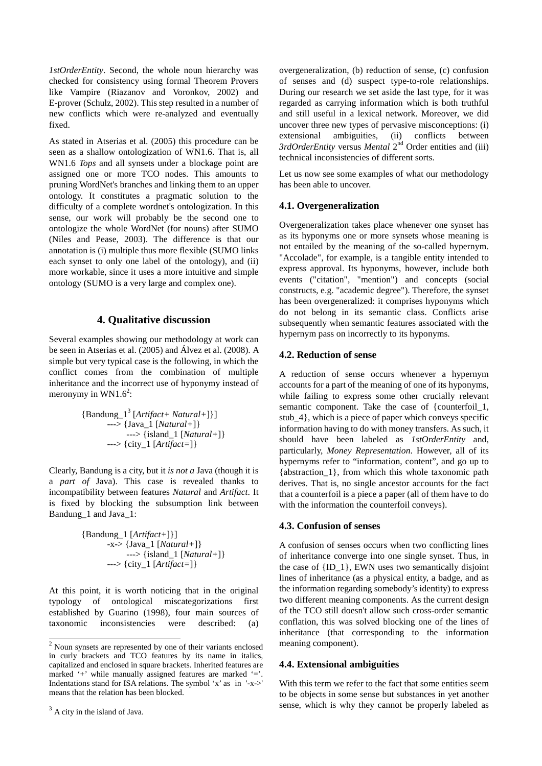*1stOrderEntity*. Second, the whole noun hierarchy was checked for consistency using formal Theorem Provers like Vampire (Riazanov and Voronkov, 2002) and E-prover (Schulz, 2002). This step resulted in a number of new conflicts which were re-analyzed and eventually fixed.

As stated in Atserias et al. (2005) this procedure can be seen as a shallow ontologization of WN1.6. That is, all WN1.6 *Tops* and all synsets under a blockage point are assigned one or more TCO nodes. This amounts to pruning WordNet's branches and linking them to an upper ontology. It constitutes a pragmatic solution to the difficulty of a complete wordnet's ontologization. In this sense, our work will probably be the second one to ontologize the whole WordNet (for nouns) after SUMO (Niles and Pease, 2003). The difference is that our annotation is (i) multiple thus more flexible (SUMO links each synset to only one label of the ontology), and (ii) more workable, since it uses a more intuitive and simple ontology (SUMO is a very large and complex one).

## **4. Qualitative discussion**

Several examples showing our methodology at work can be seen in Atserias et al. (2005) and Álvez et al. (2008). A simple but very typical case is the following, in which the conflict comes from the combination of multiple inheritance and the incorrect use of hyponymy instead of meronymy in WN1.6<sup>2</sup>:

> {Bandung\_1<sup>3</sup> [*Artifact+ Natural+*]}] ---> {Java\_1 [*Natural+*]} ---> {island\_1 [*Natural+*]} ---> {city\_1 [*Artifact=*]}

Clearly, Bandung is a city, but it *is not a* Java (though it is a *part of* Java). This case is revealed thanks to incompatibility between features *Natural* and *Artifact*. It is fixed by blocking the subsumption link between Bandung\_1 and Java\_1:

> {Bandung\_1 [*Artifact+*]}] -x-> {Java\_1 [*Natural+*]} ---> {island\_1 [*Natural+*]} ---> {city\_1 [*Artifact=*]}

At this point, it is worth noticing that in the original typology of ontological miscategorizations first established by Guarino (1998), four main sources of taxonomic inconsistencies were described: (a)

 $\overline{a}$ 

overgeneralization, (b) reduction of sense, (c) confusion of senses and (d) suspect type-to-role relationships. During our research we set aside the last type, for it was regarded as carrying information which is both truthful and still useful in a lexical network. Moreover, we did uncover three new types of pervasive misconceptions: (i) extensional ambiguities, (ii) conflicts between *3rdOrderEntity* versus *Mental* 2nd Order entities and (iii) technical inconsistencies of different sorts.

Let us now see some examples of what our methodology has been able to uncover.

#### **4.1. Overgeneralization**

Overgeneralization takes place whenever one synset has as its hyponyms one or more synsets whose meaning is not entailed by the meaning of the so-called hypernym. "Accolade", for example, is a tangible entity intended to express approval. Its hyponyms, however, include both events ("citation", "mention") and concepts (social constructs, e.g. "academic degree"). Therefore, the synset has been overgeneralized: it comprises hyponyms which do not belong in its semantic class. Conflicts arise subsequently when semantic features associated with the hypernym pass on incorrectly to its hyponyms.

#### **4.2. Reduction of sense**

A reduction of sense occurs whenever a hypernym accounts for a part of the meaning of one of its hyponyms, while failing to express some other crucially relevant semantic component. Take the case of {counterfoil\_1, stub\_4}, which is a piece of paper which conveys specific information having to do with money transfers. As such, it should have been labeled as *1stOrderEntity* and, particularly, *Money Representation*. However, all of its hypernyms refer to "information, content", and go up to {abstraction\_1}, from which this whole taxonomic path derives. That is, no single ancestor accounts for the fact that a counterfoil is a piece a paper (all of them have to do with the information the counterfoil conveys).

## **4.3. Confusion of senses**

A confusion of senses occurs when two conflicting lines of inheritance converge into one single synset. Thus, in the case of {ID\_1}, EWN uses two semantically disjoint lines of inheritance (as a physical entity, a badge, and as the information regarding somebody's identity) to express two different meaning components. As the current design of the TCO still doesn't allow such cross-order semantic conflation, this was solved blocking one of the lines of inheritance (that corresponding to the information meaning component).

## **4.4. Extensional ambiguities**

With this term we refer to the fact that some entities seem to be objects in some sense but substances in yet another sense, which is why they cannot be properly labeled as

 $2$  Noun synsets are represented by one of their variants enclosed in curly brackets and TCO features by its name in italics, capitalized and enclosed in square brackets. Inherited features are marked '+' while manually assigned features are marked '='. Indentations stand for ISA relations. The symbol 'x' as in '-x->' means that the relation has been blocked.

 $3$  A city in the island of Java.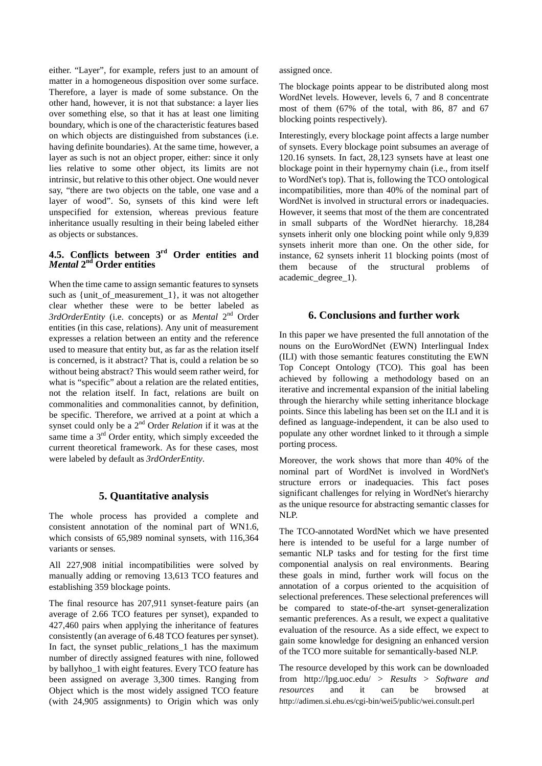either. "Layer", for example, refers just to an amount of matter in a homogeneous disposition over some surface. Therefore, a layer is made of some substance. On the other hand, however, it is not that substance: a layer lies over something else, so that it has at least one limiting boundary, which is one of the characteristic features based on which objects are distinguished from substances (i.e. having definite boundaries). At the same time, however, a layer as such is not an object proper, either: since it only lies relative to some other object, its limits are not intrinsic, but relative to this other object. One would never say, "there are two objects on the table, one vase and a layer of wood". So, synsets of this kind were left unspecified for extension, whereas previous feature inheritance usually resulting in their being labeled either as objects or substances.

## **4.5. Conflicts between 3rd Order entities and**  *Mental* **2nd Order entities**

When the time came to assign semantic features to synsets such as {unit\_of\_measurement\_1}, it was not altogether clear whether these were to be better labeled as *3rdOrderEntity* (i.e. concepts) or as *Mental* 2nd Order entities (in this case, relations). Any unit of measurement expresses a relation between an entity and the reference used to measure that entity but, as far as the relation itself is concerned, is it abstract? That is, could a relation be so without being abstract? This would seem rather weird, for what is "specific" about a relation are the related entities, not the relation itself. In fact, relations are built on commonalities and commonalities cannot, by definition, be specific. Therefore, we arrived at a point at which a synset could only be a 2nd Order *Relation* if it was at the same time a  $3<sup>rd</sup>$  Order entity, which simply exceeded the current theoretical framework. As for these cases, most were labeled by default as *3rdOrderEntity*.

## **5. Quantitative analysis**

The whole process has provided a complete and consistent annotation of the nominal part of WN1.6, which consists of 65,989 nominal synsets, with 116,364 variants or senses.

All 227,908 initial incompatibilities were solved by manually adding or removing 13,613 TCO features and establishing 359 blockage points.

The final resource has 207,911 synset-feature pairs (an average of 2.66 TCO features per synset), expanded to 427,460 pairs when applying the inheritance of features consistently (an average of 6.48 TCO features per synset). In fact, the synset public\_relations\_1 has the maximum number of directly assigned features with nine, followed by ballyhoo\_1 with eight features. Every TCO feature has been assigned on average 3,300 times. Ranging from Object which is the most widely assigned TCO feature (with 24,905 assignments) to Origin which was only

assigned once.

The blockage points appear to be distributed along most WordNet levels. However, levels 6, 7 and 8 concentrate most of them (67% of the total, with 86, 87 and 67 blocking points respectively).

Interestingly, every blockage point affects a large number of synsets. Every blockage point subsumes an average of 120.16 synsets. In fact, 28,123 synsets have at least one blockage point in their hypernymy chain (i.e., from itself to WordNet's top). That is, following the TCO ontological incompatibilities, more than 40% of the nominal part of WordNet is involved in structural errors or inadequacies. However, it seems that most of the them are concentrated in small subparts of the WordNet hierarchy. 18,284 synsets inherit only one blocking point while only 9,839 synsets inherit more than one. On the other side, for instance, 62 synsets inherit 11 blocking points (most of them because of the structural problems of academic\_degree\_1).

## **6. Conclusions and further work**

In this paper we have presented the full annotation of the nouns on the EuroWordNet (EWN) Interlingual Index (ILI) with those semantic features constituting the EWN Top Concept Ontology (TCO). This goal has been achieved by following a methodology based on an iterative and incremental expansion of the initial labeling through the hierarchy while setting inheritance blockage points. Since this labeling has been set on the ILI and it is defined as language-independent, it can be also used to populate any other wordnet linked to it through a simple porting process.

Moreover, the work shows that more than 40% of the nominal part of WordNet is involved in WordNet's structure errors or inadequacies. This fact poses significant challenges for relying in WordNet's hierarchy as the unique resource for abstracting semantic classes for NLP.

The TCO-annotated WordNet which we have presented here is intended to be useful for a large number of semantic NLP tasks and for testing for the first time componential analysis on real environments. Bearing these goals in mind, further work will focus on the annotation of a corpus oriented to the acquisition of selectional preferences. These selectional preferences will be compared to state-of-the-art synset-generalization semantic preferences. As a result, we expect a qualitative evaluation of the resource. As a side effect, we expect to gain some knowledge for designing an enhanced version of the TCO more suitable for semantically-based NLP.

The resource developed by this work can be downloaded from http://lpg.uoc.edu/ > *Results* > *Software and resources* and it can be browsed at http://adimen.si.ehu.es/cgi-bin/wei5/public/wei.consult.perl